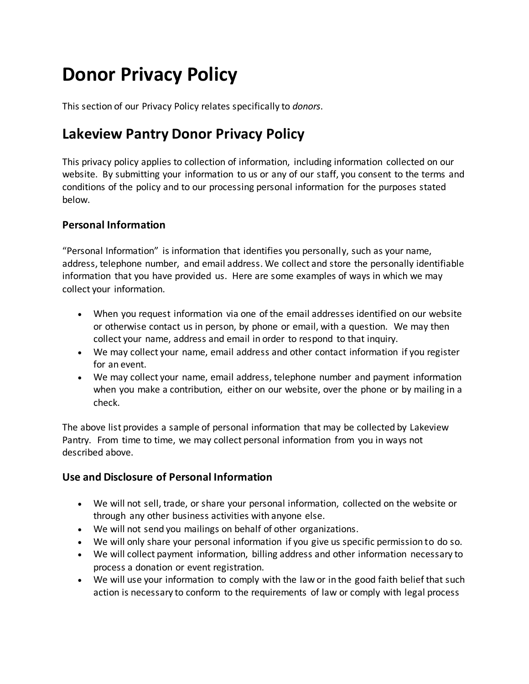# **Donor Privacy Policy**

This section of our Privacy Policy relates specifically to *donors*.

## **Lakeview Pantry Donor Privacy Policy**

This privacy policy applies to collection of information, including information collected on our website. By submitting your information to us or any of our staff, you consent to the terms and conditions of the policy and to our processing personal information for the purposes stated below.

### **Personal Information**

"Personal Information" is information that identifies you personally, such as your name, address, telephone number, and email address. We collect and store the personally identifiable information that you have provided us. Here are some examples of ways in which we may collect your information.

- When you request information via one of the email addresses identified on our website or otherwise contact us in person, by phone or email, with a question. We may then collect your name, address and email in order to respond to that inquiry.
- We may collect your name, email address and other contact information if you register for an event.
- We may collect your name, email address, telephone number and payment information when you make a contribution, either on our website, over the phone or by mailing in a check.

The above list provides a sample of personal information that may be collected by Lakeview Pantry. From time to time, we may collect personal information from you in ways not described above.

### **Use and Disclosure of Personal Information**

- We will not sell, trade, or share your personal information, collected on the website or through any other business activities with anyone else.
- We will not send you mailings on behalf of other organizations.
- We will only share your personal information if you give us specific permission to do so.
- We will collect payment information, billing address and other information necessary to process a donation or event registration.
- We will use your information to comply with the law or in the good faith belief that such action is necessary to conform to the requirements of law or comply with legal process